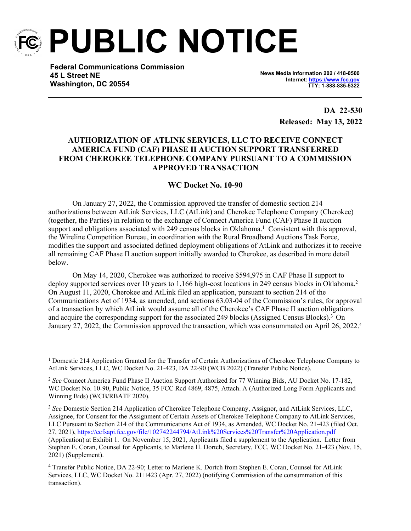

**PUBLIC NOTICE**

**Federal Communications Commission 45 L Street NE Washington, DC 20554**

**News Media Information 202 / 418-0500 Internet:<https://www.fcc.gov> TTY: 1-888-835-5322**

> **DA 22-530 Released: May 13, 2022**

## **AUTHORIZATION OF ATLINK SERVICES, LLC TO RECEIVE CONNECT AMERICA FUND (CAF) PHASE II AUCTION SUPPORT TRANSFERRED FROM CHEROKEE TELEPHONE COMPANY PURSUANT TO A COMMISSION APPROVED TRANSACTION**

**WC Docket No. 10-90**

On January 27, 2022, the Commission approved the transfer of domestic section 214 authorizations between AtLink Services, LLC (AtLink) and Cherokee Telephone Company (Cherokee) (together, the Parties) in relation to the exchange of Connect America Fund (CAF) Phase II auction support and obligations associated with 249 census blocks in Oklahoma.<sup>1</sup> Consistent with this approval, the Wireline Competition Bureau, in coordination with the Rural Broadband Auctions Task Force, modifies the support and associated defined deployment obligations of AtLink and authorizes it to receive all remaining CAF Phase II auction support initially awarded to Cherokee, as described in more detail below.

On May 14, 2020, Cherokee was authorized to receive \$594,975 in CAF Phase II support to deploy supported services over 10 years to 1,166 high-cost locations in 249 census blocks in Oklahoma.<sup>2</sup> On August 11, 2020, Cherokee and AtLink filed an application, pursuant to section 214 of the Communications Act of 1934, as amended, and sections 63.03-04 of the Commission's rules, for approval of a transaction by which AtLink would assume all of the Cherokee's CAF Phase II auction obligations and acquire the corresponding support for the associated 249 blocks (Assigned Census Blocks).<sup>3</sup> On January 27, 2022, the Commission approved the transaction, which was consummated on April 26, 2022.<sup>4</sup>

<sup>&</sup>lt;sup>1</sup> Domestic 214 Application Granted for the Transfer of Certain Authorizations of Cherokee Telephone Company to AtLink Services, LLC, WC Docket No. 21-423, DA 22-90 (WCB 2022) (Transfer Public Notice).

<sup>&</sup>lt;sup>2</sup> See Connect America Fund Phase II Auction Support Authorized for 77 Winning Bids, AU Docket No. 17-182, WC Docket No. 10-90, Public Notice, 35 FCC Rcd 4869, 4875, Attach. A (Authorized Long Form Applicants and Winning Bids) (WCB/RBATF 2020).

<sup>3</sup> *See* Domestic Section 214 Application of Cherokee Telephone Company, Assignor, and AtLink Services, LLC, Assignee, for Consent for the Assignment of Certain Assets of Cherokee Telephone Company to AtLink Services, LLC Pursuant to Section 214 of the Communications Act of 1934, as Amended, WC Docket No. 21-423 (filed Oct. 27, 2021),<https://ecfsapi.fcc.gov/file/102742244794/AtLink%20Services%20Transfer%20Application.pdf> (Application) at Exhibit 1. On November 15, 2021, Applicants filed a supplement to the Application. Letter from Stephen E. Coran, Counsel for Applicants, to Marlene H. Dortch, Secretary, FCC, WC Docket No. 21-423 (Nov. 15, 2021) (Supplement).

<sup>&</sup>lt;sup>4</sup> Transfer Public Notice, DA 22-90; Letter to Marlene K. Dortch from Stephen E. Coran, Counsel for AtLink Services, LLC, WC Docket No. 21□423 (Apr. 27, 2022) (notifying Commission of the consummation of this transaction).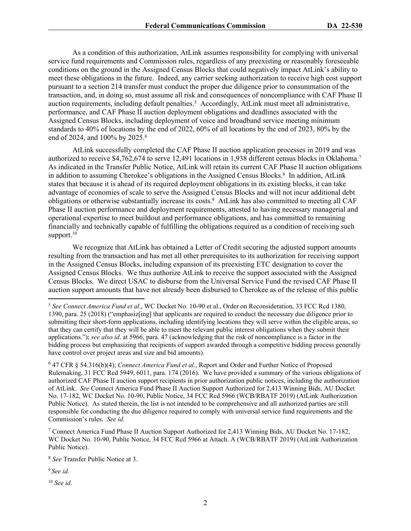As a condition of this authorization, AtLink assumes responsibility for complying with universal service fund requirements and Commission rules, regardless of any preexisting or reasonably foreseeable conditions on the ground in the Assigned Census Blocks that could negatively impact AtLink's ability to meet these obligations in the future. Indeed, any carrier seeking authorization to receive high cost support pursuant to a section 214 transfer must conduct the proper due diligence prior to consummation of the transaction, and, in doing so, must assume all risk and consequences of noncompliance with CAF Phase II auction requirements, including default penalties.<sup>5</sup> Accordingly, AtLink must meet all administrative, performance, and CAF Phase II auction deployment obligations and deadlines associated with the Assigned Census Blocks, including deployment of voice and broadband service meeting minimum standards to 40% of locations by the end of 2022, 60% of all locations by the end of 2023, 80% by the end of 2024, and 100% by 2025.<sup>6</sup>

AtLink successfully completed the CAF Phase II auction application processes in 2019 and was authorized to receive \$4,762,674 to serve 12,491 locations in 1,938 different census blocks in Oklahoma.<sup>7</sup> As indicated in the Transfer Public Notice, AtLink will retain its current CAF Phase II auction obligations in addition to assuming Cherokee's obligations in the Assigned Census Blocks.<sup>8</sup> In addition, AtLink states that because it is ahead of its required deployment obligations in its existing blocks, it can take advantage of economies of scale to serve the Assigned Census Blocks and will not incur additional debt obligations or otherwise substantially increase its costs.<sup>9</sup> AtLink has also committed to meeting all CAF Phase II auction performance and deployment requirements, attested to having necessary managerial and operational expertise to meet buildout and performance obligations, and has committed to remaining financially and technically capable of fulfilling the obligations required as a condition of receiving such support. $10$ 

We recognize that AtLink has obtained a Letter of Credit securing the adjusted support amounts resulting from the transaction and has met all other prerequisites to its authorization for receiving support in the Assigned Census Blocks, including expansion of its preexisting ETC designation to cover the Assigned Census Blocks. We thus authorize AtLink to receive the support associated with the Assigned Census Blocks. We direct USAC to disburse from the Universal Service Fund the revised CAF Phase II auction support amounts that have not already been disbursed to Cherokee as of the release of this public

<sup>9</sup>*See id.*

<sup>10</sup> *See id*.

<sup>5</sup> *See Connect America Fund et al*., WC Docket No. 10-90 et al., Order on Reconsideration, 33 FCC Rcd 1380, 1390, para. 25 (2018) ("emphasiz[ing] that applicants are required to conduct the necessary due diligence prior to submitting their short-form applications, including identifying locations they will serve within the eligible areas, so that they can certify that they will be able to meet the relevant public interest obligations when they submit their applications."); *see also id*. at 5966, para. 47 (acknowledging that the risk of noncompliance is a factor in the bidding process but emphasizing that recipients of support awarded through a competitive bidding process generally have control over project areas and size and bid amounts).

<sup>6</sup> 47 CFR § 54.316(b)(4); *Connect America Fund et al.*, Report and Order and Further Notice of Proposed Rulemaking, 31 FCC Rcd 5949, 6011, para. 174 (2016). We have provided a summary of the various obligations of authorized CAF Phase II auction support recipients in prior authorization public notices, including the authorization of AtLink. *See* Connect America Fund Phase II Auction Support Authorized for 2,413 Winning Bids, AU Docket No. 17-182, WC Docket No. 10-90, Public Notice, 34 FCC Rcd 5966 (WCB/RBATF 2019) (AtLink Authorization Public Notice). As stated therein, the list is not intended to be comprehensive and all authorized parties are still responsible for conducting the due diligence required to comply with universal service fund requirements and the Commission's rules. *See id.*

<sup>&</sup>lt;sup>7</sup> Connect America Fund Phase II Auction Support Authorized for 2,413 Winning Bids, AU Docket No. 17-182, WC Docket No. 10-90, Public Notice, 34 FCC Rcd 5966 at Attach. A (WCB/RBATF 2019) (AtLink Authorization Public Notice).

<sup>8</sup> *See* Transfer Public Notice at 3.